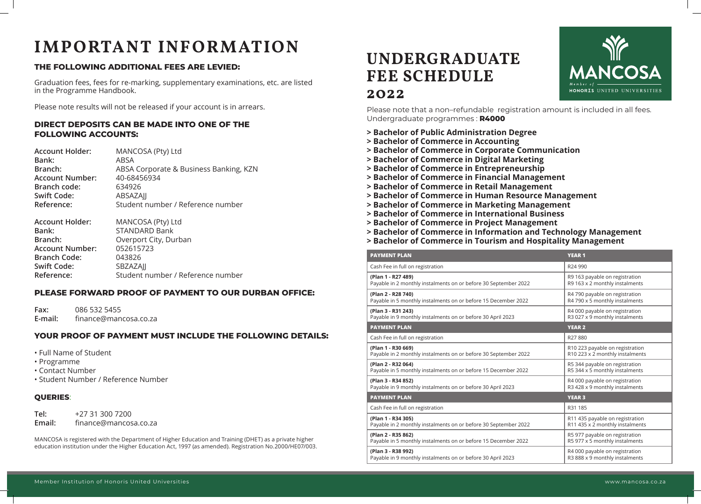# **IMPORTANT INFORMATION**

## **THE FOLLOWING ADDITIONAL FEES ARE LEVIED:**

Graduation fees, fees for re-marking, supplementary examinations, etc. are listed in the Programme Handbook.

Please note results will not be released if your account is in arrears.

## **DIRECT DEPOSITS CAN BE MADE INTO ONE OF THE FOLLOWING ACCOUNTS:**

| <b>Account Holder:</b> | MANCOSA (Pty) Ltd                      |
|------------------------|----------------------------------------|
| Bank:                  | <b>ABSA</b>                            |
| Branch:                | ABSA Corporate & Business Banking, KZN |
| <b>Account Number:</b> | 40-68456934                            |
| <b>Branch code:</b>    | 634926                                 |
| <b>Swift Code:</b>     | <b>ABSAZAJJ</b>                        |
| Reference:             | Student number / Reference number      |
| <b>Account Holder:</b> | MANCOSA (Pty) Ltd                      |
| Bank:                  | <b>STANDARD Bank</b>                   |
| Branch:                | Overport City, Durban                  |
| <b>Account Number:</b> | 052615723                              |
| <b>Branch Code:</b>    | 043826                                 |
| <b>Swift Code:</b>     | SBZAZAJJ                               |
| Reference:             | Student number / Reference number      |

## **PLEASE FORWARD PROOF OF PAYMENT TO OUR DURBAN OFFICE:**

**Fax:** 086 532 5455 **E-mail:** finance@mancosa.co.za

## **YOUR PROOF OF PAYMENT MUST INCLUDE THE FOLLOWING DETAILS:**

- Full Name of Student
- Programme
- Contact Number
- Student Number / Reference Number

## **QUERIES**:

**Tel:** +27 31 300 7200 **Email:** finance@mancosa.co.za **(Plan 2 - R28 740)**  Payable in 5 monthly instalments on or before 15 Decemb

MANCOSA is registered with the Department of Higher Education and Training (DHET) as a private higher education institution under the Higher Education Act, 1997 (as amended). Registration No.2000/HE07/003.

**(Plan 1 - R30 669)**  Payable in 2 monthly instalments on or before 30 Septemb





| <b>Degree</b>                 |
|-------------------------------|
| ng                            |
| e Communication:              |
| larketing                     |
| neurship                      |
| <b>I Management</b>           |
| anagement                     |
| Resource Management           |
| ng Management                 |
| <b>ional Business</b>         |
| <b>Aanagement</b>             |
| ion and Technology Management |
|                               |

## **UNDERGRADUATE FEE SCHEDULE 2022**

**(Plan 2 - R32 064)**  Payable in 5 monthly instalments on or before 15 Decemb

**(Plan 1 - R34 305)**  Payable in 2 monthly instalments on or before 30 Septemb

**(Plan 2 - R35 862)**  Payable in 5 monthly instalments on or before 15 Decemb

**> Bachelor of Commerce in Tourism and Hospitality Management**

**(Plan 1 - R27 489)** 

Payable in 2 monthly instalments on or before 30 Septemb

**(Plan 3 - R31 243)**  Payable in 9 monthly instalments on or before 30 April 2023

**PAYMENT PLAN** 

Cash Fee in full on registration

|          | <b>YEAR 1</b>                                                      |
|----------|--------------------------------------------------------------------|
|          | R24 990                                                            |
| per 2022 | R9 163 payable on registration<br>R9 163 x 2 monthly instalments   |
| er 2022  | R4 790 payable on registration<br>R4 790 x 5 monthly instalments   |
| 23       | R4 000 payable on registration<br>R3 027 x 9 monthly instalments   |
|          | <b>YEAR 2</b>                                                      |
|          | R27880                                                             |
| per 2022 | R10 223 payable on registration<br>R10 223 x 2 monthly instalments |
| er 2022  | R5 344 payable on registration<br>R5 344 x 5 monthly instalments   |
| 23       | R4 000 payable on registration<br>R3 428 x 9 monthly instalments   |
|          | <b>YEAR 3</b>                                                      |
|          | R31 185                                                            |
| per 2022 | R11 435 payable on registration<br>R11 435 x 2 monthly instalments |
| er 2022  | R5 977 payable on registration<br>R5 977 x 5 monthly instalments   |
| 23       | R4 000 payable on registration<br>R3 888 x 9 monthly instalments   |

**(Plan 3 - R34 852)** 

Payable in 9 monthly instalments on or before 30 April 2023

**PAYMENT PLAN** 

Cash Fee in full on registration

**(Plan 3 - R38 992)**  Payable in 9 monthly instalments on or before 30 April 2023

Please note that a non–refundable registration amount is included in all fees. Undergraduate programmes : **R4000**

- **> Bachelor of Public Administration**
- **> Bachelor of Commerce in Accounti**
- **> Bachelor of Commerce in Corporat**
- **> Bachelor of Commerce in Digital M**
- **> Bachelor of Commerce in Entrepre**
- **> Bachelor of Commerce in Financial**
- **> Bachelor of Commerce in Retail Management**
- **> Bachelor of Commerce in Human R**
- **> Bachelor of Commerce in Marketing**
- **> Bachelor of Commerce in Internation**
- **> Bachelor of Commerce in Project M**
- **> Bachelor of Commerce in Informat**
- 

#### **PAYMENT PLAN**

Cash Fee in full on registration